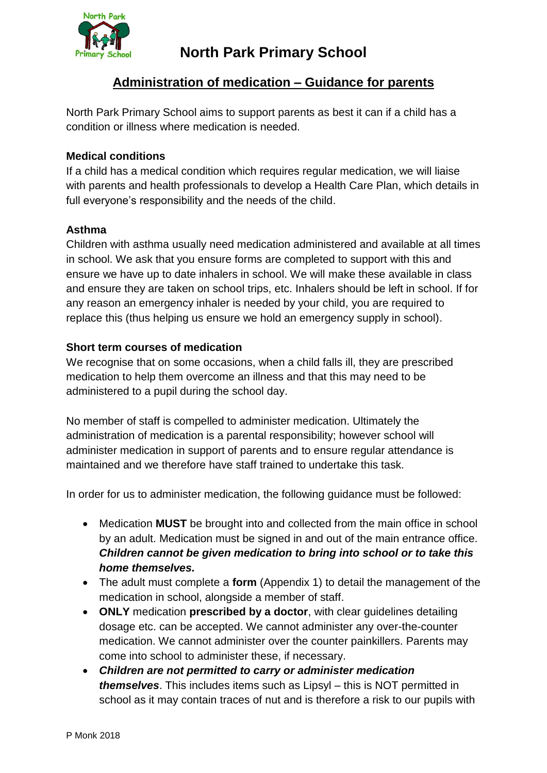

# **Administration of medication – Guidance for parents**

North Park Primary School aims to support parents as best it can if a child has a condition or illness where medication is needed.

## **Medical conditions**

If a child has a medical condition which requires regular medication, we will liaise with parents and health professionals to develop a Health Care Plan, which details in full everyone's responsibility and the needs of the child.

## **Asthma**

Children with asthma usually need medication administered and available at all times in school. We ask that you ensure forms are completed to support with this and ensure we have up to date inhalers in school. We will make these available in class and ensure they are taken on school trips, etc. Inhalers should be left in school. If for any reason an emergency inhaler is needed by your child, you are required to replace this (thus helping us ensure we hold an emergency supply in school).

# **Short term courses of medication**

We recognise that on some occasions, when a child falls ill, they are prescribed medication to help them overcome an illness and that this may need to be administered to a pupil during the school day.

No member of staff is compelled to administer medication. Ultimately the administration of medication is a parental responsibility; however school will administer medication in support of parents and to ensure regular attendance is maintained and we therefore have staff trained to undertake this task.

In order for us to administer medication, the following guidance must be followed:

- Medication **MUST** be brought into and collected from the main office in school by an adult. Medication must be signed in and out of the main entrance office. *Children cannot be given medication to bring into school or to take this home themselves.*
- The adult must complete a **form** (Appendix 1) to detail the management of the medication in school, alongside a member of staff.
- **ONLY** medication **prescribed by a doctor**, with clear guidelines detailing dosage etc. can be accepted. We cannot administer any over-the-counter medication. We cannot administer over the counter painkillers. Parents may come into school to administer these, if necessary.
- *Children are not permitted to carry or administer medication themselves*. This includes items such as Lipsyl – this is NOT permitted in school as it may contain traces of nut and is therefore a risk to our pupils with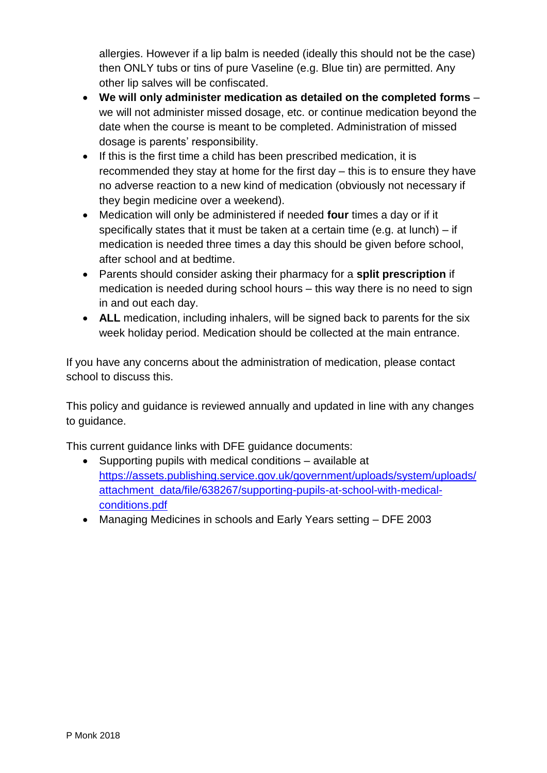allergies. However if a lip balm is needed (ideally this should not be the case) then ONLY tubs or tins of pure Vaseline (e.g. Blue tin) are permitted. Any other lip salves will be confiscated.

- **We will only administer medication as detailed on the completed forms** we will not administer missed dosage, etc. or continue medication beyond the date when the course is meant to be completed. Administration of missed dosage is parents' responsibility.
- If this is the first time a child has been prescribed medication, it is recommended they stay at home for the first day – this is to ensure they have no adverse reaction to a new kind of medication (obviously not necessary if they begin medicine over a weekend).
- Medication will only be administered if needed **four** times a day or if it specifically states that it must be taken at a certain time (e.g. at lunch) – if medication is needed three times a day this should be given before school, after school and at bedtime.
- Parents should consider asking their pharmacy for a **split prescription** if medication is needed during school hours – this way there is no need to sign in and out each day.
- ALL medication, including inhalers, will be signed back to parents for the six week holiday period. Medication should be collected at the main entrance.

If you have any concerns about the administration of medication, please contact school to discuss this.

This policy and guidance is reviewed annually and updated in line with any changes to guidance.

This current guidance links with DFE guidance documents:

- Supporting pupils with medical conditions available at [https://assets.publishing.service.gov.uk/government/uploads/system/uploads/](https://assets.publishing.service.gov.uk/government/uploads/system/uploads/attachment_data/file/638267/supporting-pupils-at-school-with-medical-conditions.pdf) [attachment\\_data/file/638267/supporting-pupils-at-school-with-medical](https://assets.publishing.service.gov.uk/government/uploads/system/uploads/attachment_data/file/638267/supporting-pupils-at-school-with-medical-conditions.pdf)[conditions.pdf](https://assets.publishing.service.gov.uk/government/uploads/system/uploads/attachment_data/file/638267/supporting-pupils-at-school-with-medical-conditions.pdf)
- Managing Medicines in schools and Early Years setting DFE 2003